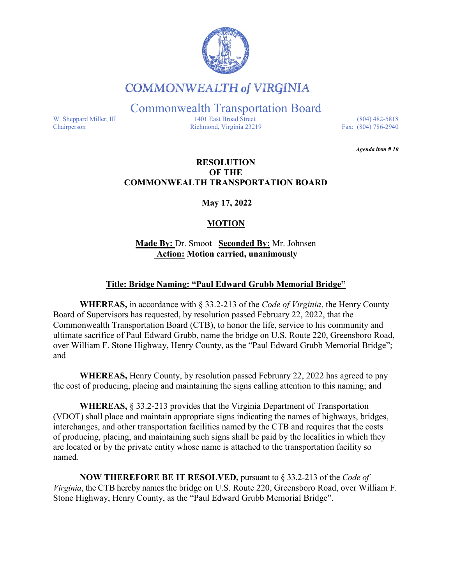

## **COMMONWEALTH of VIRGINIA**

Commonwealth Transportation Board

W. Sheppard Miller, III 1401 East Broad Street (804) 482-5818<br>Chairperson Richmond, Virginia 23219 Fax: (804) 786-2940 Richmond, Virginia 23219

*Agenda item # 10* 

#### **RESOLUTION OF THE COMMONWEALTH TRANSPORTATION BOARD**

**May 17, 2022**

### **MOTION**

**Made By:** Dr. Smoot **Seconded By:** Mr. Johnsen **Action: Motion carried, unanimously**

#### **Title: Bridge Naming: "Paul Edward Grubb Memorial Bridge"**

**WHEREAS,** in accordance with § 33.2-213 of the *Code of Virginia*, the Henry County Board of Supervisors has requested, by resolution passed February 22, 2022, that the Commonwealth Transportation Board (CTB), to honor the life, service to his community and ultimate sacrifice of Paul Edward Grubb, name the bridge on U.S. Route 220, Greensboro Road, over William F. Stone Highway, Henry County, as the "Paul Edward Grubb Memorial Bridge"; and

**WHEREAS,** Henry County, by resolution passed February 22, 2022 has agreed to pay the cost of producing, placing and maintaining the signs calling attention to this naming; and

**WHEREAS,** § 33.2-213 provides that the Virginia Department of Transportation (VDOT) shall place and maintain appropriate signs indicating the names of highways, bridges, interchanges, and other transportation facilities named by the CTB and requires that the costs of producing, placing, and maintaining such signs shall be paid by the localities in which they are located or by the private entity whose name is attached to the transportation facility so named.

**NOW THEREFORE BE IT RESOLVED,** pursuant to § 33.2-213 of the *Code of Virginia*, the CTB hereby names the bridge on U.S. Route 220, Greensboro Road, over William F. Stone Highway, Henry County, as the "Paul Edward Grubb Memorial Bridge".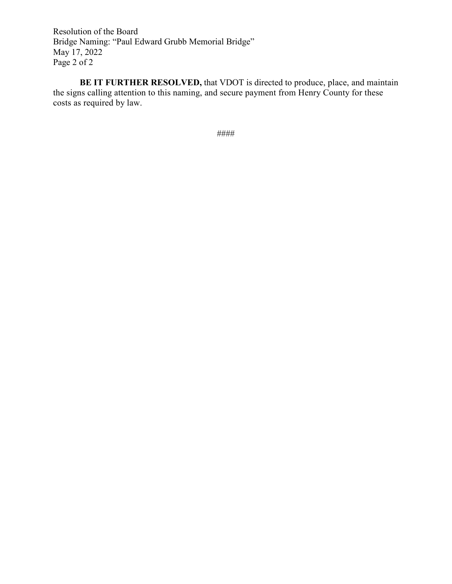Resolution of the Board Bridge Naming: "Paul Edward Grubb Memorial Bridge" May 17, 2022 Page 2 of 2

**BE IT FURTHER RESOLVED,** that VDOT is directed to produce, place, and maintain the signs calling attention to this naming, and secure payment from Henry County for these costs as required by law.

####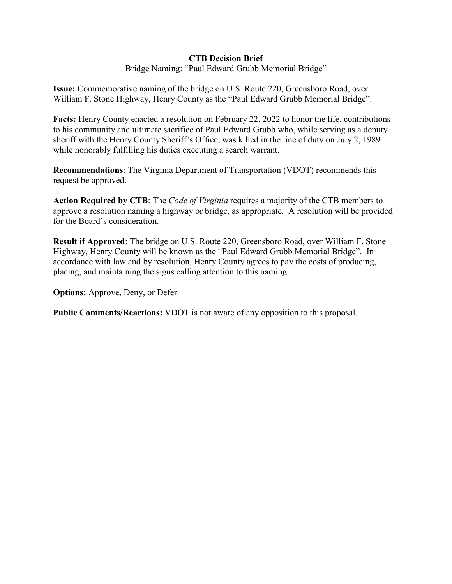#### **CTB Decision Brief**

Bridge Naming: "Paul Edward Grubb Memorial Bridge"

**Issue:** Commemorative naming of the bridge on U.S. Route 220, Greensboro Road, over William F. Stone Highway, Henry County as the "Paul Edward Grubb Memorial Bridge".

**Facts:** Henry County enacted a resolution on February 22, 2022 to honor the life, contributions to his community and ultimate sacrifice of Paul Edward Grubb who, while serving as a deputy sheriff with the Henry County Sheriff's Office, was killed in the line of duty on July 2, 1989 while honorably fulfilling his duties executing a search warrant.

**Recommendations**: The Virginia Department of Transportation (VDOT) recommends this request be approved.

**Action Required by CTB**: The *Code of Virginia* requires a majority of the CTB members to approve a resolution naming a highway or bridge, as appropriate. A resolution will be provided for the Board's consideration.

**Result if Approved**: The bridge on U.S. Route 220, Greensboro Road, over William F. Stone Highway, Henry County will be known as the "Paul Edward Grubb Memorial Bridge". In accordance with law and by resolution, Henry County agrees to pay the costs of producing, placing, and maintaining the signs calling attention to this naming.

**Options:** Approve**,** Deny, or Defer.

**Public Comments/Reactions:** VDOT is not aware of any opposition to this proposal.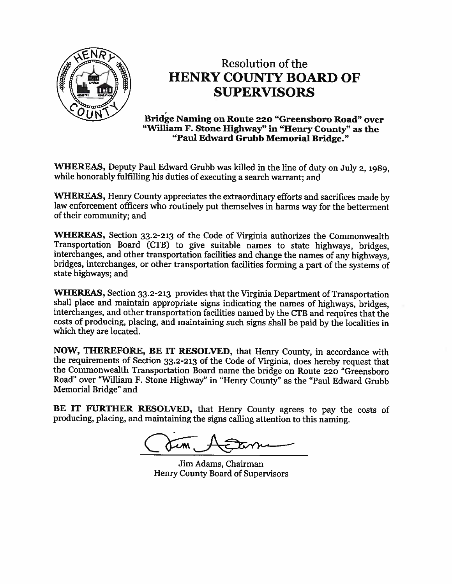

# Resolution of the **HENRY COUNTY BOARD OF SUPERVISORS**

Bridge Naming on Route 220 "Greensboro Road" over "William F. Stone Highway" in "Henry County" as the "Paul Edward Grubb Memorial Bridge."

WHEREAS, Deputy Paul Edward Grubb was killed in the line of duty on July 2, 1989, while honorably fulfilling his duties of executing a search warrant; and

WHEREAS, Henry County appreciates the extraordinary efforts and sacrifices made by law enforcement officers who routinely put themselves in harms way for the betterment of their community; and

WHEREAS, Section 33.2-213 of the Code of Virginia authorizes the Commonwealth Transportation Board (CTB) to give suitable names to state highways, bridges, interchanges, and other transportation facilities and change the names of any highways. bridges, interchanges, or other transportation facilities forming a part of the systems of state highways; and

**WHEREAS, Section 33.2-213 provides that the Virginia Department of Transportation** shall place and maintain appropriate signs indicating the names of highways, bridges, interchanges, and other transportation facilities named by the CTB and requires that the costs of producing, placing, and maintaining such signs shall be paid by the localities in which they are located.

NOW, THEREFORE, BE IT RESOLVED, that Henry County, in accordance with the requirements of Section 33.2-213 of the Code of Virginia, does hereby request that the Commonwealth Transportation Board name the bridge on Route 220 "Greensboro Road" over "William F. Stone Highway" in "Henry County" as the "Paul Edward Grubb Memorial Bridge" and

BE IT FURTHER RESOLVED, that Henry County agrees to pay the costs of producing, placing, and maintaining the signs calling attention to this naming.

Jim Adams, Chairman Henry County Board of Supervisors